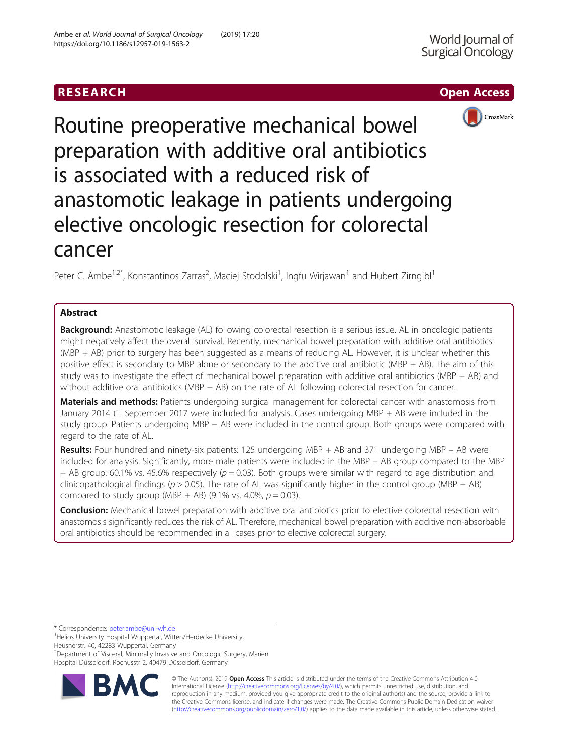



# Routine preoperative mechanical bowel preparation with additive oral antibiotics is associated with a reduced risk of anastomotic leakage in patients undergoing elective oncologic resection for colorectal cancer

Peter C. Ambe<sup>1,2\*</sup>, Konstantinos Zarras<sup>2</sup>, Maciej Stodolski<sup>1</sup>, Ingfu Wirjawan<sup>1</sup> and Hubert Zirngibl<sup>1</sup>

# Abstract

Background: Anastomotic leakage (AL) following colorectal resection is a serious issue. AL in oncologic patients might negatively affect the overall survival. Recently, mechanical bowel preparation with additive oral antibiotics (MBP + AB) prior to surgery has been suggested as a means of reducing AL. However, it is unclear whether this positive effect is secondary to MBP alone or secondary to the additive oral antibiotic (MBP + AB). The aim of this study was to investigate the effect of mechanical bowel preparation with additive oral antibiotics (MBP + AB) and without additive oral antibiotics (MBP − AB) on the rate of AL following colorectal resection for cancer.

Materials and methods: Patients undergoing surgical management for colorectal cancer with anastomosis from January 2014 till September 2017 were included for analysis. Cases undergoing MBP + AB were included in the study group. Patients undergoing MBP – AB were included in the control group. Both groups were compared with regard to the rate of AL.

Results: Four hundred and ninety-six patients: 125 undergoing MBP + AB and 371 undergoing MBP - AB were included for analysis. Significantly, more male patients were included in the MBP – AB group compared to the MBP + AB group: 60.1% vs. 45.6% respectively ( $p = 0.03$ ). Both groups were similar with regard to age distribution and clinicopathological findings (p > 0.05). The rate of AL was significantly higher in the control group (MBP − AB) compared to study group (MBP + AB) (9.1% vs. 4.0%,  $p = 0.03$ ).

Conclusion: Mechanical bowel preparation with additive oral antibiotics prior to elective colorectal resection with anastomosis significantly reduces the risk of AL. Therefore, mechanical bowel preparation with additive non-absorbable oral antibiotics should be recommended in all cases prior to elective colorectal surgery.

\* Correspondence: [peter.ambe@uni-wh.de](mailto:peter.ambe@uni-wh.de) <sup>1</sup>

<sup>1</sup>Helios University Hospital Wuppertal, Witten/Herdecke University,

Heusnerstr. 40, 42283 Wuppertal, Germany

<sup>2</sup> Department of Visceral, Minimally Invasive and Oncologic Surgery, Marien Hospital Düsseldorf, Rochusstr 2, 40479 Düsseldorf, Germany



© The Author(s). 2019 **Open Access** This article is distributed under the terms of the Creative Commons Attribution 4.0 International License [\(http://creativecommons.org/licenses/by/4.0/](http://creativecommons.org/licenses/by/4.0/)), which permits unrestricted use, distribution, and reproduction in any medium, provided you give appropriate credit to the original author(s) and the source, provide a link to the Creative Commons license, and indicate if changes were made. The Creative Commons Public Domain Dedication waiver [\(http://creativecommons.org/publicdomain/zero/1.0/](http://creativecommons.org/publicdomain/zero/1.0/)) applies to the data made available in this article, unless otherwise stated.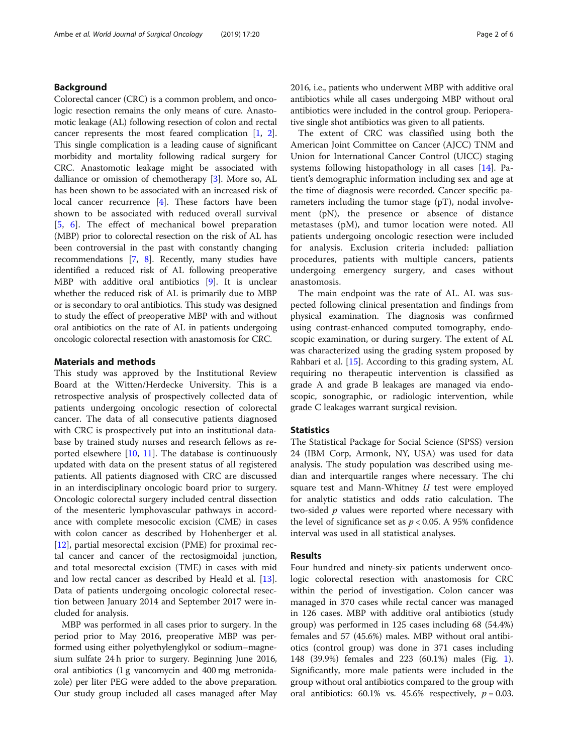# Background

Colorectal cancer (CRC) is a common problem, and oncologic resection remains the only means of cure. Anastomotic leakage (AL) following resection of colon and rectal cancer represents the most feared complication [\[1](#page-4-0), [2](#page-4-0)]. This single complication is a leading cause of significant morbidity and mortality following radical surgery for CRC. Anastomotic leakage might be associated with dalliance or omission of chemotherapy [[3](#page-4-0)]. More so, AL has been shown to be associated with an increased risk of local cancer recurrence [[4\]](#page-4-0). These factors have been shown to be associated with reduced overall survival [[5,](#page-4-0) [6\]](#page-4-0). The effect of mechanical bowel preparation (MBP) prior to colorectal resection on the risk of AL has been controversial in the past with constantly changing recommendations [\[7](#page-4-0), [8](#page-4-0)]. Recently, many studies have identified a reduced risk of AL following preoperative MBP with additive oral antibiotics [[9](#page-4-0)]. It is unclear whether the reduced risk of AL is primarily due to MBP or is secondary to oral antibiotics. This study was designed to study the effect of preoperative MBP with and without oral antibiotics on the rate of AL in patients undergoing oncologic colorectal resection with anastomosis for CRC.

# Materials and methods

This study was approved by the Institutional Review Board at the Witten/Herdecke University. This is a retrospective analysis of prospectively collected data of patients undergoing oncologic resection of colorectal cancer. The data of all consecutive patients diagnosed with CRC is prospectively put into an institutional database by trained study nurses and research fellows as reported elsewhere  $[10, 11]$  $[10, 11]$  $[10, 11]$ . The database is continuously updated with data on the present status of all registered patients. All patients diagnosed with CRC are discussed in an interdisciplinary oncologic board prior to surgery. Oncologic colorectal surgery included central dissection of the mesenteric lymphovascular pathways in accordance with complete mesocolic excision (CME) in cases with colon cancer as described by Hohenberger et al. [[12\]](#page-5-0), partial mesorectal excision (PME) for proximal rectal cancer and cancer of the rectosigmoidal junction, and total mesorectal excision (TME) in cases with mid and low rectal cancer as described by Heald et al. [\[13](#page-5-0)]. Data of patients undergoing oncologic colorectal resection between January 2014 and September 2017 were included for analysis.

MBP was performed in all cases prior to surgery. In the period prior to May 2016, preoperative MBP was performed using either polyethylenglykol or sodium–magnesium sulfate 24 h prior to surgery. Beginning June 2016, oral antibiotics (1 g vancomycin and 400 mg metronidazole) per liter PEG were added to the above preparation. Our study group included all cases managed after May 2016, i.e., patients who underwent MBP with additive oral antibiotics while all cases undergoing MBP without oral antibiotics were included in the control group. Perioperative single shot antibiotics was given to all patients.

The extent of CRC was classified using both the American Joint Committee on Cancer (AJCC) TNM and Union for International Cancer Control (UICC) staging systems following histopathology in all cases [[14\]](#page-5-0). Patient's demographic information including sex and age at the time of diagnosis were recorded. Cancer specific parameters including the tumor stage (pT), nodal involvement (pN), the presence or absence of distance metastases (pM), and tumor location were noted. All patients undergoing oncologic resection were included for analysis. Exclusion criteria included: palliation procedures, patients with multiple cancers, patients undergoing emergency surgery, and cases without anastomosis.

The main endpoint was the rate of AL. AL was suspected following clinical presentation and findings from physical examination. The diagnosis was confirmed using contrast-enhanced computed tomography, endoscopic examination, or during surgery. The extent of AL was characterized using the grading system proposed by Rahbari et al. [[15\]](#page-5-0). According to this grading system, AL requiring no therapeutic intervention is classified as grade A and grade B leakages are managed via endoscopic, sonographic, or radiologic intervention, while grade C leakages warrant surgical revision.

# **Statistics**

The Statistical Package for Social Science (SPSS) version 24 (IBM Corp, Armonk, NY, USA) was used for data analysis. The study population was described using median and interquartile ranges where necessary. The chi square test and Mann-Whitney  $U$  test were employed for analytic statistics and odds ratio calculation. The two-sided  $p$  values were reported where necessary with the level of significance set as  $p < 0.05$ . A 95% confidence interval was used in all statistical analyses.

# Results

Four hundred and ninety-six patients underwent oncologic colorectal resection with anastomosis for CRC within the period of investigation. Colon cancer was managed in 370 cases while rectal cancer was managed in 126 cases. MBP with additive oral antibiotics (study group) was performed in 125 cases including 68 (54.4%) females and 57 (45.6%) males. MBP without oral antibiotics (control group) was done in 371 cases including 148 (39.9%) females and 223 (60.1%) males (Fig. [1](#page-2-0)). Significantly, more male patients were included in the group without oral antibiotics compared to the group with oral antibiotics: 60.1% vs. 45.6% respectively,  $p = 0.03$ .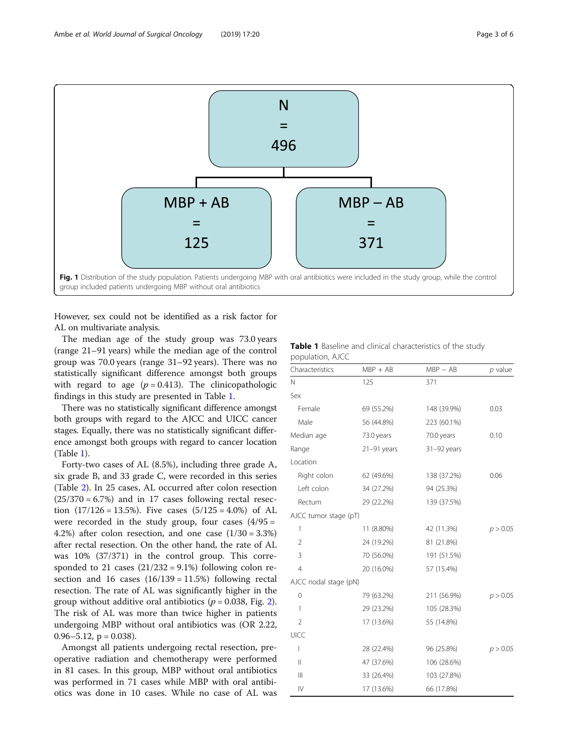<span id="page-2-0"></span>

However, sex could not be identified as a risk factor for AL on multivariate analysis.

The median age of the study group was 73.0 years (range 21–91 years) while the median age of the control group was 70.0 years (range 31–92 years). There was no statistically significant difference amongst both groups with regard to age  $(p = 0.413)$ . The clinicopathologic findings in this study are presented in Table 1.

There was no statistically significant difference amongst both groups with regard to the AJCC and UICC cancer stages. Equally, there was no statistically significant difference amongst both groups with regard to cancer location (Table 1).

Forty-two cases of AL (8.5%), including three grade A, six grade B, and 33 grade C, were recorded in this series (Table [2](#page-3-0)). In 25 cases, AL occurred after colon resection  $(25/370 = 6.7%)$  and in 17 cases following rectal resection  $(17/126 = 13.5\%)$ . Five cases  $(5/125 = 4.0\%)$  of AL were recorded in the study group, four cases  $(4/95 =$ 4.2%) after colon resection, and one case  $(1/30 = 3.3%)$ after rectal resection. On the other hand, the rate of AL was 10% (37/371) in the control group. This corresponded to 21 cases  $(21/232 = 9.1%)$  following colon resection and 16 cases  $(16/139 = 11.5%)$  following rectal resection. The rate of AL was significantly higher in the group without additive oral antibiotics ( $p = 0.038$ , Fig. [2](#page-3-0)). The risk of AL was more than twice higher in patients undergoing MBP without oral antibiotics was (OR 2.22,  $0.96 - 5.12$ ,  $p = 0.038$ ).

Amongst all patients undergoing rectal resection, preoperative radiation and chemotherapy were performed in 81 cases. In this group, MBP without oral antibiotics was performed in 71 cases while MBP with oral antibiotics was done in 10 cases. While no case of AL was

|                  |  | <b>Table 1</b> Baseline and clinical characteristics of the study |  |
|------------------|--|-------------------------------------------------------------------|--|
| population, AJCC |  |                                                                   |  |

| Characteristics       | $MBP + AB$    | $MBP - AB$  | $p$ value |
|-----------------------|---------------|-------------|-----------|
| N                     | 125           | 371         |           |
| Sex                   |               |             |           |
| Female                | 69 (55.2%)    | 148 (39.9%) | 0.03      |
| Male                  | 56 (44.8%)    | 223 (60.1%) |           |
| Median age            | 73.0 years    | 70.0 years  | 0.10      |
| Range                 | $21-91$ years | 31-92 years |           |
| Location              |               |             |           |
| Right colon           | 62 (49.6%)    | 138 (37.2%) | 0.06      |
| Left colon            | 34 (27.2%)    | 94 (25.3%)  |           |
| Rectum                | 29 (22.2%)    | 139 (37.5%) |           |
| AJCC tumor stage (pT) |               |             |           |
| 1                     | 11 (8.80%)    | 42 (11.3%)  | p > 0.05  |
| $\overline{2}$        | 24 (19.2%)    | 81 (21.8%)  |           |
| 3                     | 70 (56.0%)    | 191 (51.5%) |           |
| $\overline{4}$        | 20 (16.0%)    | 57 (15.4%)  |           |
| AJCC nodal stage (pN) |               |             |           |
| 0                     | 79 (63.2%)    | 211 (56.9%) | p > 0.05  |
| 1                     | 29 (23.2%)    | 105 (28.3%) |           |
| $\overline{2}$        | 17 (13.6%)    | 55 (14.8%)  |           |
| <b>UICC</b>           |               |             |           |
| I                     | 28 (22.4%)    | 96 (25.8%)  | p > 0.05  |
| $\parallel$           | 47 (37.6%)    | 106 (28.6%) |           |
| $\mathbf{III}$        | 33 (26.4%)    | 103 (27.8%) |           |
| IV                    | 17 (13.6%)    | 66 (17.8%)  |           |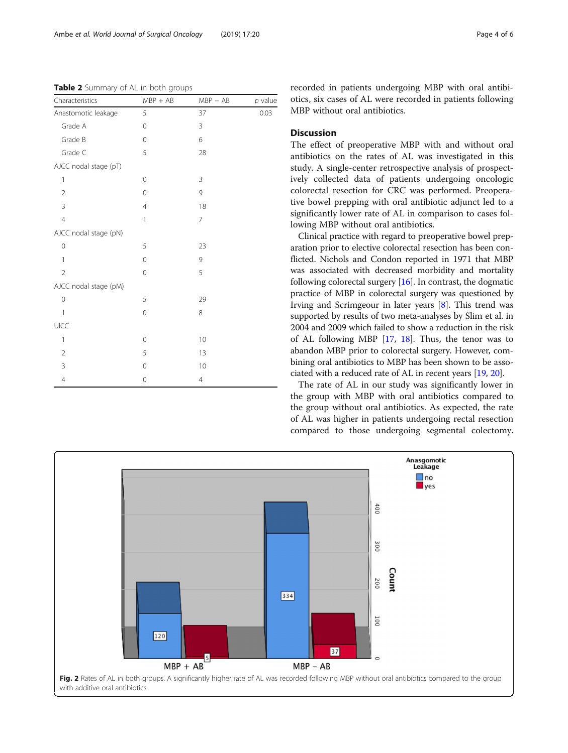<span id="page-3-0"></span>Table 2 Summary of AL in both groups

| Characteristics       | $MBP + AB$     | $MBP - AB$     | $p$ value |
|-----------------------|----------------|----------------|-----------|
| Anastomotic leakage   | 5              | 37             | 0.03      |
| Grade A               | $\mathbf{O}$   | 3              |           |
| Grade B               | $\mathbf 0$    | 6              |           |
| Grade C               | 5              | 28             |           |
| AJCC nodal stage (pT) |                |                |           |
| 1                     | 0              | 3              |           |
| $\overline{2}$        | $\mathbf 0$    | 9              |           |
| 3                     | $\overline{4}$ | 18             |           |
| $\overline{4}$        | $\mathbf{1}$   | $\overline{7}$ |           |
| AJCC nodal stage (pN) |                |                |           |
| $\mathbf 0$           | 5              | 23             |           |
| 1                     | 0              | 9              |           |
| $\overline{2}$        | 0              | 5              |           |
| AJCC nodal stage (pM) |                |                |           |
| $\mathbf 0$           | 5              | 29             |           |
| 1                     | 0              | 8              |           |
| UICC                  |                |                |           |
| 1                     | $\mathbf 0$    | 10             |           |
| $\overline{2}$        | 5              | 13             |           |
| 3                     | 0              | 10             |           |
| 4                     | 0              | 4              |           |

recorded in patients undergoing MBP with oral antibiotics, six cases of AL were recorded in patients following MBP without oral antibiotics.

# Discussion

The effect of preoperative MBP with and without oral antibiotics on the rates of AL was investigated in this study. A single-center retrospective analysis of prospectively collected data of patients undergoing oncologic colorectal resection for CRC was performed. Preoperative bowel prepping with oral antibiotic adjunct led to a significantly lower rate of AL in comparison to cases following MBP without oral antibiotics.

Clinical practice with regard to preoperative bowel preparation prior to elective colorectal resection has been conflicted. Nichols and Condon reported in 1971 that MBP was associated with decreased morbidity and mortality following colorectal surgery [[16](#page-5-0)]. In contrast, the dogmatic practice of MBP in colorectal surgery was questioned by Irving and Scrimgeour in later years [[8](#page-4-0)]. This trend was supported by results of two meta-analyses by Slim et al. in 2004 and 2009 which failed to show a reduction in the risk of AL following MBP [\[17,](#page-5-0) [18](#page-5-0)]. Thus, the tenor was to abandon MBP prior to colorectal surgery. However, combining oral antibiotics to MBP has been shown to be associated with a reduced rate of AL in recent years [\[19,](#page-5-0) [20](#page-5-0)].

The rate of AL in our study was significantly lower in the group with MBP with oral antibiotics compared to the group without oral antibiotics. As expected, the rate of AL was higher in patients undergoing rectal resection compared to those undergoing segmental colectomy.

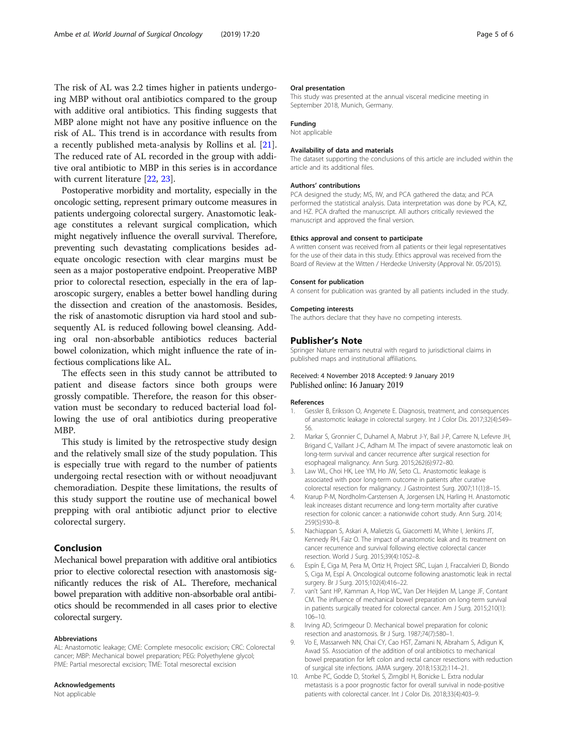<span id="page-4-0"></span>The risk of AL was 2.2 times higher in patients undergoing MBP without oral antibiotics compared to the group with additive oral antibiotics. This finding suggests that MBP alone might not have any positive influence on the risk of AL. This trend is in accordance with results from a recently published meta-analysis by Rollins et al. [\[21](#page-5-0)]. The reduced rate of AL recorded in the group with additive oral antibiotic to MBP in this series is in accordance with current literature [[22,](#page-5-0) [23\]](#page-5-0).

Postoperative morbidity and mortality, especially in the oncologic setting, represent primary outcome measures in patients undergoing colorectal surgery. Anastomotic leakage constitutes a relevant surgical complication, which might negatively influence the overall survival. Therefore, preventing such devastating complications besides adequate oncologic resection with clear margins must be seen as a major postoperative endpoint. Preoperative MBP prior to colorectal resection, especially in the era of laparoscopic surgery, enables a better bowel handling during the dissection and creation of the anastomosis. Besides, the risk of anastomotic disruption via hard stool and subsequently AL is reduced following bowel cleansing. Adding oral non-absorbable antibiotics reduces bacterial bowel colonization, which might influence the rate of infectious complications like AL.

The effects seen in this study cannot be attributed to patient and disease factors since both groups were grossly compatible. Therefore, the reason for this observation must be secondary to reduced bacterial load following the use of oral antibiotics during preoperative MBP.

This study is limited by the retrospective study design and the relatively small size of the study population. This is especially true with regard to the number of patients undergoing rectal resection with or without neoadjuvant chemoradiation. Despite these limitations, the results of this study support the routine use of mechanical bowel prepping with oral antibiotic adjunct prior to elective colorectal surgery.

# Conclusion

Mechanical bowel preparation with additive oral antibiotics prior to elective colorectal resection with anastomosis significantly reduces the risk of AL. Therefore, mechanical bowel preparation with additive non-absorbable oral antibiotics should be recommended in all cases prior to elective colorectal surgery.

#### Abbreviations

AL: Anastomotic leakage; CME: Complete mesocolic excision; CRC: Colorectal cancer; MBP: Mechanical bowel preparation; PEG: Polyethylene glycol; PME: Partial mesorectal excision; TME: Total mesorectal excision

### Acknowledgements

Not applicable

#### Oral presentation

This study was presented at the annual visceral medicine meeting in September 2018, Munich, Germany.

#### Funding

Not applicable

### Availability of data and materials

The dataset supporting the conclusions of this article are included within the article and its additional files.

# Authors' contributions

PCA designed the study; MS, IW, and PCA gathered the data; and PCA performed the statistical analysis. Data interpretation was done by PCA, KZ, and HZ. PCA drafted the manuscript. All authors critically reviewed the manuscript and approved the final version.

#### Ethics approval and consent to participate

A written consent was received from all patients or their legal representatives for the use of their data in this study. Ethics approval was received from the Board of Review at the Witten / Herdecke University (Approval Nr. 05/2015).

#### Consent for publication

A consent for publication was granted by all patients included in the study.

#### Competing interests

The authors declare that they have no competing interests.

### Publisher's Note

Springer Nature remains neutral with regard to jurisdictional claims in published maps and institutional affiliations.

## Received: 4 November 2018 Accepted: 9 January 2019 Published online: 16 January 2019

#### References

- 1. Gessler B, Eriksson O, Angenete E. Diagnosis, treatment, and consequences of anastomotic leakage in colorectal surgery. Int J Color Dis. 2017;32(4):549– 56.
- 2. Markar S, Gronnier C, Duhamel A, Mabrut J-Y, Bail J-P, Carrere N, Lefevre JH, Brigand C, Vaillant J-C, Adham M. The impact of severe anastomotic leak on long-term survival and cancer recurrence after surgical resection for esophageal malignancy. Ann Surg. 2015;262(6):972–80.
- 3. Law WL, Choi HK, Lee YM, Ho JW, Seto CL. Anastomotic leakage is associated with poor long-term outcome in patients after curative colorectal resection for malignancy. J Gastrointest Surg. 2007;11(1):8–15.
- 4. Krarup P-M, Nordholm-Carstensen A, Jorgensen LN, Harling H. Anastomotic leak increases distant recurrence and long-term mortality after curative resection for colonic cancer: a nationwide cohort study. Ann Surg. 2014; 259(5):930–8.
- 5. Nachiappan S, Askari A, Malietzis G, Giacometti M, White I, Jenkins JT, Kennedy RH, Faiz O. The impact of anastomotic leak and its treatment on cancer recurrence and survival following elective colorectal cancer resection. World J Surg. 2015;39(4):1052–8.
- 6. Espín E, Ciga M, Pera M, Ortiz H, Project SRC, Lujan J, Fraccalvieri D, Biondo S, Ciga M, Espí A. Oncological outcome following anastomotic leak in rectal surgery. Br J Surg. 2015;102(4):416–22.
- 7. van't Sant HP, Kamman A, Hop WC, Van Der Heijden M, Lange JF, Contant CM. The influence of mechanical bowel preparation on long-term survival in patients surgically treated for colorectal cancer. Am J Surg. 2015;210(1): 106–10.
- 8. Irving AD, Scrimgeour D. Mechanical bowel preparation for colonic resection and anastomosis. Br J Surg. 1987;74(7):580–1.
- 9. Vo E, Massarweh NN, Chai CY, Cao HST, Zamani N, Abraham S, Adigun K, Awad SS. Association of the addition of oral antibiotics to mechanical bowel preparation for left colon and rectal cancer resections with reduction of surgical site infections. JAMA surgery. 2018;153(2):114–21.
- 10. Ambe PC, Godde D, Storkel S, Zirngibl H, Bonicke L. Extra nodular metastasis is a poor prognostic factor for overall survival in node-positive patients with colorectal cancer. Int J Color Dis. 2018;33(4):403–9.